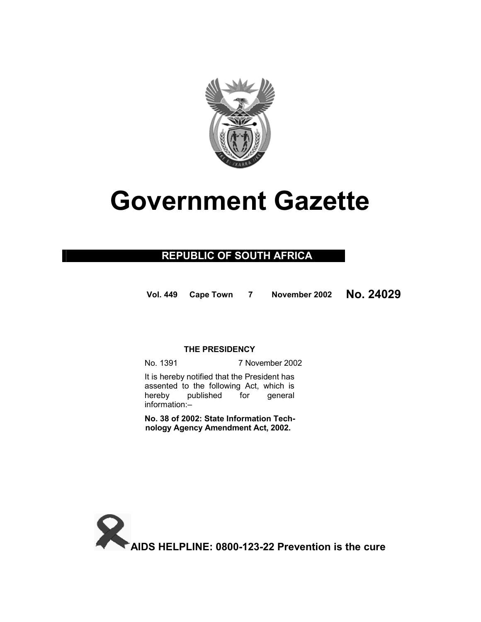

# **Government Gazette**

### **REPUBLIC OF SOUTH AFRICA**

**Vol. 449 Cape Town <sup>7</sup> November 2002 No. 24029**

#### **THE PRESIDENCY**

No. 1391 7 November 2002

 It is hereby notified that the President has assented to the following Act, which is hereby published for general information:–

**No. 38 of 2002: State Information Technology Agency Amendment Act, 2002.**

**AIDS HELPLINE: 0800-123-22 Prevention is the cure**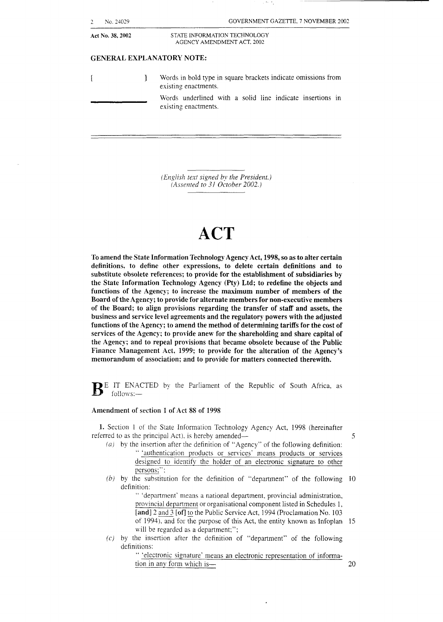| No. 24029        | GOVERNMENT GAZETTE, 7 NOVEMBER 2002                                                   |
|------------------|---------------------------------------------------------------------------------------|
| Act No. 38, 2002 | STATE INFORMATION TECHNOLOGY<br>AGENCY AMENDMENT ACT, 2002                            |
|                  | <b>GENERAL EXPLANATORY NOTE:</b>                                                      |
|                  | Words in bold type in square brackets indicate omissions from<br>existing enactments. |
|                  | Words underlined with a solid line indicate insertions in<br>existing enactments.     |
|                  |                                                                                       |
|                  |                                                                                       |

*(English text signed by the President.) (Assented to 31 October 2002.)* 

## **ACT**

To amend the State Information Technology Agency Act, **1998, so** as to alter certain definitions, to define other expressions, to delete certain definitions and to substitute obsolete references; to provide for the establishment of subsidiaries by the State Information Technology Agency (Pty) Ltd; to redefine the objects and functions of the Agency; **to** increase the maximum number of members of the Board of the Agency; to provide for alternate members for non-executive members of the Board; to align provisions regarding the transfer of staff and assets, the business and service level agreements and the regulatory powers with the adjusted functions of the hgency; to amend the method of determining tariffs for the cost of services of the Agency: to provide anew for the shareholding and share capital of the Agency; and to repeal provisions that became obsolete because of the Public Finance Management Act, 1999; to provide for the alteration of the Agency's memorandum of association; and to provide for matters connected therewith.

BE IT ENACTED by the Parliament of the Republic of South Africa, as follows:-

#### Amendment **of** section 1 of Act **8s** of 1998

**1.** Section 1 of' the State information Technology Agency Act, 1998 (hereinafter referred to as the principal Act), is hereby amended— 5

- *(a)* by the insertion after the definition of "Agency" of the following definition: '' 'authentication products or services' means products or services designed to identifv the holder of an electronic signature to other persons:";
- *(b)* by the substitution for the definition of "department" of the following 10 definition:

'' 'department' means a national department, provincial administration, provincial department or organisational component listed in Schedules 1, [and] *2* and *3* **[of]** to the Public Service Act, 1994 (Proclamation No. 103 of 1994), and for the purpose of this Act, the entity known as Infoplan 15 will be regarded as a department;";

 $(c)$  by the insertion after the definition of "department" of the following definitions:

'' 'electronic signature' means an electronic representation of information in any form which is  $\frac{20}{20}$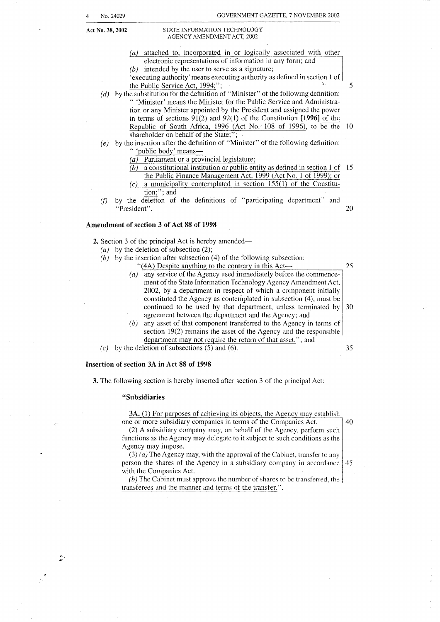#### **Act No. 38,2002** STATE INFORMATION TECHNOLOGY AGENCY AMENDMENT ACT, 2002

- *(a)* attached to, incorporated in or logically associated with other *(b)* intended by the user to serve as a signature; 'executing authority' means executing authority as defined in section I of the Public Service Act, 1994;"; electronic representations of information in any form; and 5
- *(d)* by the substitution for the definition of "Minister" of the following definition: '' 'Minister' means the Minister for the Public Service and Administration or any Minister appointed by the President and assigned the power in terms of sections 91(2) and 92(1) of the Constitution **[1996]**  Republic of South Africa, 1996 (Act No. 108 of 1996), to be the 10 shareholder on behalf of the State;";
- *(e)* by the insertion after the definition of "Minister" of the following definition: " 'public body' means-
	- *(a)* Parliament or a provincial legislature;
	- *(b)* a constitutional institution or public entity as defined in section 1 of 15 the Public Finance Management Act, 1999 (Act No. 1 of 1999); or
	- $\Omega$  a municipality contemplated in section 155(1) of the Constitution;"; and
- *(f)* by the deletion of the definitions of "participating department" and "President". 20

#### **Amendment of section 3 of Act 88 of 1998**

**2.** Section 3 of the principal Act is hereby amended—

- *(a)* by the deletion of subsection (2);
- $(b)$  by the insertion after subsection (4) of the following subsection:
	- "(4A) Despite anything to the contrary in this Act- *(a)* any service of the Agency used immediately before the commencement of the State Information Technology Agency Amendment Act, 2002, by a department in respect of which a component initially constituted the Agency as contemplated in subsection (4), must be continued to be used by that department, unless terminated by agreement between the department and the Agency; and *(b)* any asset of that component transferred to the Agency in terms of -2 *5 30*
	- section 19(2) remains the asset of the Agency and the responsible department may not require the return of that asset."; and

*35* 

40

(c) by the deletion of subsections *(5)* and (6).

#### **Insertion of section 3A in Act 88 of 1998**

**3.** The following section is hereby inserted after section 3 of the principal Act:

#### **"Subsidiaries**

**3A.** (1) For purposes of achieving its objects, the Agency may establish

one or more subsidiary companies in terms of the Companies Act. (2) A subsidiary company may, on behalf of the Agency, perform such functions as the Agency may delegate to it subject to such conditions as the Agency may impose.

(3) *(a)* The Agency may, with the approval of the Cabinet, transfer to any person the shares of the Agency in a subsidiary company in accordance with the Companies Act. 45

*(b)* The Cabinet must approve the number of shares to be transferred, the transferees and the manner and terms of the transfer.".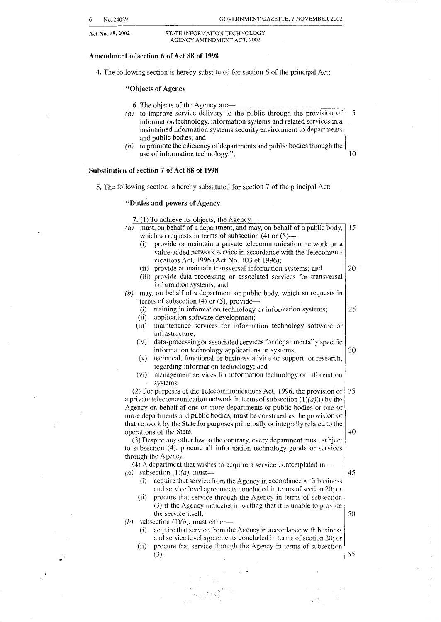5

#### **Amendment of section 6 of Act 88 of 1998**

**4.** The following section is hereby substituted for section 6 of the principal Act:

#### **"Objects of Agency**

6. The objects of the Agency are—

- $(a)$  to improve service delivery to the public through the provision of information technology, information systems and related services in a maintained information systems security environment to departments and public bodies; and
- *(b)* to promote the efficiency of departments and public bodies through the use of information technology.". 10

#### **Substitution of section 7 of Act 88 of 1998**

**5.** The following section is hereby substituted for section 7 of the principal Act:

#### **"Duties and powers of Agency**

**7.** (1) To achieve its objects, the Agency- (*a*) must, on behalf of a department, and may, on behalf of a public body,  $\vert$  15 which so requests in terms of subsection (4) or  $(5)$ — (i) provide or maintain a private telecommunication network or **<sup>2</sup>** value-added network service in accordance with the Telecommunications Act, 1996 (Act No. 103 of 1996); (ii) provide or maintain transversal information systems; and (iii) provide data-processing or associated services for transversal (6) may, on behalf of a department or public body, which so requests in terms of subsection (4) or (5), provide-(i) training in information technology or information systems; (ii) application software development; (iii) maintenance services for information technology software or (iv) data-processing or associated services for departmentally specific (v) technical, functional or business advice or support, or research. (vi) management services for information technology or information (2) For purposes of the Telecommunications Act, 1996, the provision of a private telecommunication network in terms of subsection  $(1)(a)(i)$  by the Agency on behalf of one or more departments or public bodies or one or more departments and public bodies, must be construed as the provision of that network by the State for purposes principally or integrally related to the operations of the State. (3) Despite any other law to the contrary, every department must, subject to subsection (4), procure all information technology goods or services through the Agency. *(3)* A department that wishes to acquire a service contemplated in-  $(a)$  subsection  $(1)(a)$ , mustinformation systems; and infrastructure; information technology applications or systems; regarding information technology; and systems. (i) acquire that service from the Agency in accordance with business and service level agreements concluded in terms of section 20; or (ii) procure that service through the Agency in terms of subsection *(3)* if the Agency indicates in writing that it is unable to provide the service itself; (b) subsection  $(1)(b)$ , must either--(i) acquire that service from the Agency in accordance with business and service level agreements concluded in terms of section *20;* or (ii) procure that service through the Agency in terms of subsection (3). 20 25 *30 35*  10 15 50 55

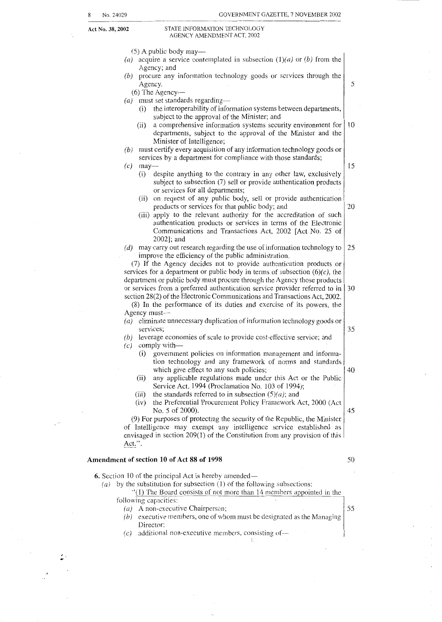#### **Act No. 38,2002** STATE INFORMATION TECHNOLOGY AGENCY AMENDMENT ACT, 2002

 $(5)$  A public body may—

- (a) acquire a service contemplated in subsection  $(1)(a)$  or  $(b)$  from the Agency; and
- *(b)* procure any information technology goods or services through thc Agency.

(6) The Agency-

(a) must set standards regarding-

- (i) the interoperability of information systems between departments subject to the approval of the Minister; and
- (ii) a comprehensive information systems security environment for departments, subject to the approval of the Minister and the Minister of Intelligence; 10
- *(b)* must certify every acquisition of any information technology goods **01**  services by a department for compliance with those standards;
- **(c)** may- (i) despite anything to the contrary in any other law, exclusively subject to subsection (7) sell or provide authentication products or services for all departments;
	- (ii) on request of any public body, sell or provide authentication products or services for that public body; and 20
	- (iii) apply to the relevant authority for the accreditation of such authentication products or services in terms of the Electronic Communications and Transactions Act, 2002 [Act No. 25 of 20021; and
- *(d)* may carry out research regarding the use of information technology to improve the efficiency of the public administration. 25

(7) If the Agency decides not to provide authentication products or services for a department or public body in terms of subsection  $(6)(c)$ , the department or public body must procure through the Agency those products or services from a preferred authentication service provider referred to in section 28(2) of the Electronic Communications and Transactions Act, 2002. 30

(8) In the performance of its duties and exercise of its powers, the Agency must-

- *(a)* eliminate unnecessary duplication of information technology goods or services;
- *(b)* leverage economies of scale to provide cost-effective service; and
- *(c)* comply with-
	- (i) government policies on information management and information technology and any framework of norms and standards which give effect to any such policies;
	- (ii) any applicable regulations made under this Act or the Public Service Act, 1994 (Proclamation No. 103 of 1994);
	-
	- (iii) the standards referred to in subsection  $(5)(a)$ ; and (iv) the Preferential Procurement Policy Framework  $\beta$ the Preferential Procurement Policy Framework Act, 2000 (Act) No. 5 of 2000). 45

(9) For purposes of protecting the security of the Republic, the Minister of Intelligence may exempt any intelligence aervice stablished as envisaged in section 209(1) of the Constitution from any provision of this Act.". \_\_

#### **Amendment of section 10 of Act 88 of 1998**

**6.** Section 10 of the principal Act is hereby amended— *(a)* by the substitution for subsection (1) of the following subsections:  $''(1)$  The Board consists of not more than 14 members appointed in the ollowing capacities: *(a)* A non-executive Chairperson; *(b)* executive members, one of whom must be designated as the Managing  $(c)$  additional non-executive members, consisting of--Director; *55* 

50

*35* 

10

*5* 

15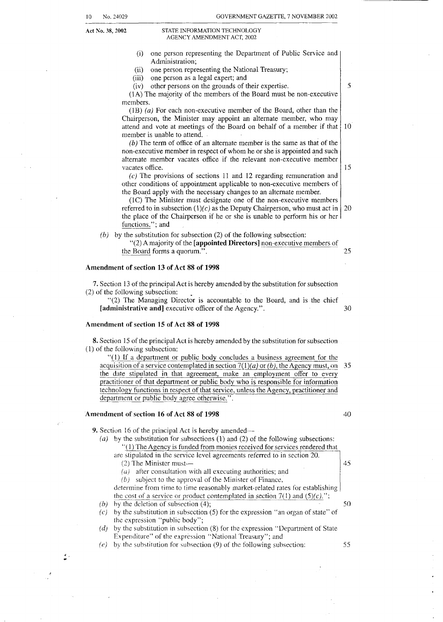$\mathcal{L}^{\mathcal{L}}$ 

10 No. 24029 GOVERNMENT GAZETTE, 7 NOVEMBER 2002

#### **Act No. 38,2002** STATE INFORMATION TECHNOLOGY AGENCY AMENDMENT ACT. 2002

| ASLING LAWILINDINIAN ACT, 2002                                                                                                                                   |    |  |  |  |
|------------------------------------------------------------------------------------------------------------------------------------------------------------------|----|--|--|--|
| one person representing the Department of Public Service and<br>(i)                                                                                              |    |  |  |  |
| Administration;<br>one person representing the National Treasury;<br>(ii)                                                                                        |    |  |  |  |
| one person as a legal expert; and<br>(iii)                                                                                                                       |    |  |  |  |
| other persons on the grounds of their expertise.<br>(iv)                                                                                                         | 5  |  |  |  |
| (1A) The majority of the members of the Board must be non-executive                                                                                              |    |  |  |  |
| members.<br>$(B)$ (a) For each non-executive member of the Board, other than the                                                                                 |    |  |  |  |
| Chairperson, the Minister may appoint an alternate member, who may                                                                                               |    |  |  |  |
| attend and vote at meetings of the Board on behalf of a member if that                                                                                           | 10 |  |  |  |
| member is unable to attend.                                                                                                                                      |    |  |  |  |
| $(b)$ The term of office of an alternate member is the same as that of the                                                                                       |    |  |  |  |
| non-executive member in respect of whom he or she is appointed and such                                                                                          |    |  |  |  |
| alternate member vacates office if the relevant non-executive member<br>vacates office.                                                                          |    |  |  |  |
| $(c)$ The provisions of sections 11 and 12 regarding remuneration and                                                                                            | 15 |  |  |  |
| other conditions of appointment applicable to non-executive members of                                                                                           |    |  |  |  |
| the Board apply with the necessary changes to an alternate member.                                                                                               |    |  |  |  |
| (1C) The Minister must designate one of the non-executive members                                                                                                |    |  |  |  |
| referred to in subsection $(1)(c)$ as the Deputy Chairperson, who must act in<br>the place of the Chairperson if he or she is unable to perform his or her       | 20 |  |  |  |
| functions."; and                                                                                                                                                 |    |  |  |  |
| by the substitution for subsection (2) of the following subsection:<br>(b)                                                                                       |    |  |  |  |
| "(2) A majority of the [appointed Directors] non-executive members of                                                                                            |    |  |  |  |
| the Board forms a quorum.".                                                                                                                                      | 25 |  |  |  |
|                                                                                                                                                                  |    |  |  |  |
| Amendment of section 13 of Act 88 of 1998                                                                                                                        |    |  |  |  |
| 7. Section 13 of the principal Act is hereby amended by the substitution for subsection                                                                          |    |  |  |  |
| (2) of the following subsection:                                                                                                                                 |    |  |  |  |
| "(2) The Managing Director is accountable to the Board, and is the chief                                                                                         |    |  |  |  |
| [administrative and] executive officer of the Agency.".                                                                                                          | 30 |  |  |  |
| Amendment of section 15 of Act 88 of 1998                                                                                                                        |    |  |  |  |
|                                                                                                                                                                  |    |  |  |  |
| 8. Section 15 of the principal Act is hereby amended by the substitution for subsection<br>(1) of the following subsection:                                      |    |  |  |  |
| $\lq(1)$ If a department or public body concludes a business agreement for the                                                                                   |    |  |  |  |
| acquisition of a service contemplated in section $7(1)(a)$ or (b), the Agency must, on                                                                           |    |  |  |  |
| 35<br>the date stipulated in that agreement, make an employment offer to every                                                                                   |    |  |  |  |
| practitioner of that department or public body who is responsible for information                                                                                |    |  |  |  |
| technology functions in respect of that service, unless the Agency, practitioner and                                                                             |    |  |  |  |
| department or public body agree otherwise.".                                                                                                                     |    |  |  |  |
| Amendment of section 16 of Act 88 of 1998                                                                                                                        | 40 |  |  |  |
|                                                                                                                                                                  |    |  |  |  |
| 9. Section 16 of the principal Act is hereby amended—<br>(a) by the substitution for subsections $(1)$ and $(2)$ of the following subsections:                   |    |  |  |  |
| "(1) The Agency is funded from monies received for services rendered that                                                                                        |    |  |  |  |
| are stipulated in the service level agreements referred to in section 20.                                                                                        |    |  |  |  |
| $(2)$ The Minister must—                                                                                                                                         | 45 |  |  |  |
| after consultation with all executing authorities; and<br>$\left( u\right)$                                                                                      |    |  |  |  |
| subject to the approval of the Minister of Finance,<br>(b)                                                                                                       |    |  |  |  |
| determine from time to time reasonably market-related rates for establishing<br>the cost of a service or product contemplated in section $7(1)$ and $(5)(c)$ ."; |    |  |  |  |
| by the deletion of subsection $(4)$ ;<br>(b)                                                                                                                     | 50 |  |  |  |
| by the substitution in subsection (5) for the expression "an organ of state" of<br>(c)                                                                           |    |  |  |  |
| the expression "public body";                                                                                                                                    |    |  |  |  |
| by the substitution in subsection (8) for the expression "Department of State<br>(d)                                                                             |    |  |  |  |
|                                                                                                                                                                  |    |  |  |  |
| Expenditure" of the expression "National Treasury"; and<br>by the substitution for subsection (9) of the following subsection:<br>(e)                            | 55 |  |  |  |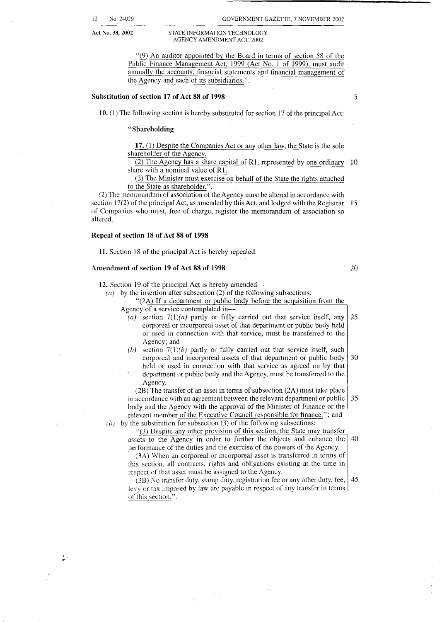#### **Act No. 38, 2002** STATE INFORMATION TECHNOLOGY AGENCY AMENDMENT ACT, 2002

"(9) An auditor appointed by the Board in terms of section 58 of the Public Finance Management Act, 1999 (Act No. 1 of 1999), must audit annually the accounts, financial statements and financial management of the Agency and each of its subsidiaries.".

#### **Substitution of section 17 of Act 88 of 1998** 5

**10.** (1) The following section is hereby substituted for section 17 of the principal Act:

#### **"Shareholding**

**17.** (1) Despite the Companies Act or any other law, the State is the sole shareholder of the Agency.

 $\overline{(2)}$  The Agency has a share capital of R1, represented by one ordinary 10 share with a nominal value of R1.

(3) The Minister must exercise on behalf of the State the rights attached to the State as shareholder.".

(2) The memorandum of association of the Agency must be altered in accordance with section 17(2) of the principal Act, as amended by this Act, and lodged with the Registrar 15 of Companies who must, free of charge, register the memorandum of association so altered.

#### **Repeal of section 18 of Act 88 of 1998**

÷.

**11.** Section 18 of the principal Act is hereby repealed.

#### **Amendment of section 19 of Act 88 of 1998**

*20* 

**12.** Section 19 of the principal Act is hereby amended—

*(a)* by the insertion after subsection (2) of the following subsections:

#### "(2A) If a department or public body before the acquisition from the Agency of a service contemplated in-

- $(a)$  section  $7(1)(a)$  partly or fully carried out that service itself, any 25 corporeal or incorporeal asset of that department or public body held or used in connection with that service, must be transferred to the Agency; and
- (b) section  $7(1)(b)$  partly or fully carried out that service itself, such corporeal and incorporeal assets of that department or public body 30 held or used in connection with that service as agreed on by that . department or public body and the Agency, must be transferred to the Agency.

(2B) The transfer of an asset in terms of subsection (2A) must take place in accordance with an agreement between the relevant department or public 35 body and the Agency with the approval of the Minister of Finance or the relevant member of the Executive Council responsible for finance."; and

 $(h)$  by the substitution for subsection  $(3)$  of the following subsections:

 $\mathbb{R}^{N\times N}$  .

*.'(3)* Despite any other provision of this section, the State may transfer assets to the Agency in order to further the objects and enhance the performance of the duties and the exercise of the powers of the Agency. 40

(3A) When an corporeal or incorporeal asset is transferred in terms of this section, all contracts, rights and obligations existing at the time in respect of that asset must be assigned to the Agency.

 $(3B)$  No transfer duty, stamp duty, registration fee or any other duty, fee, levy or tax imposed by law are payable in respect of any transfer in terms of this section.". 45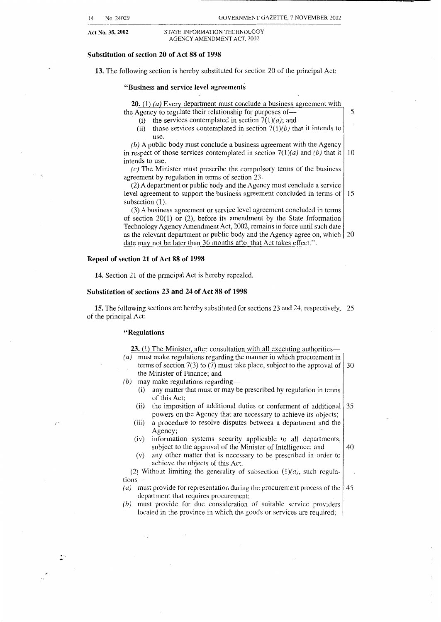**Act No. 38,2002 STATE** INFORMATLON **TECHNOLOGY**  AGENCY **AMENDMENT ACT.** 2002

#### **Substitution of section 20 of Act 88 of 1998**

13. The following section is hereby substituted for section 20 of the principal Act:

#### **"Business and service level agreements**

**20.** (1) *(a)* Every department must conclude a business agreement with the Agency to regulate their relationship for purposes of-

- (i) the services contemplated in section  $7(1)(a)$ ; and
- (ii) those services contemplated in section  $7(1)(b)$  that it intends to use.

5

*(b)* **A** public body must conclude a business agreement with the Agency in respect of those services contemplated in section  $7(1)(a)$  and *(b)* that it  $\begin{bmatrix} 10 \end{bmatrix}$ intends to use.

*(c)* The Minister must prescribe the compulsory terms of the business agreement by regulation in terms of section 23.

(2) **A** department or public body and the Agency must conclude a service level agreement to support the business agreement concluded in terms of 15 subsection  $(1)$ .

(3) A business agreement or service level agreement concluded in terms of section 20(1) or (2), before its amendment by the State Information Technology Agency Amendment Act, 2002, remains in force until such date as the relevant department or public body and the Agency agree on, which *20*  date may not be later than 36 months after that Act takes effect.".

#### **Repeal of section 21 of Act 88 of 1998**

**14.** Section 21 of the principal Act is hereby repealed.

#### **Substitution of sections 23 and 24 of Act 88 of 1998**

**15.** The following sections are hereby substituted for sections 23 and 24, respectively, 25 of the principal Act:

#### **"Regulations**

| 23. (1) The Minister, after consultation with all executing authorities—<br>must make regulations regarding the manner in which procurement in<br>(a) |      |  |  |  |
|-------------------------------------------------------------------------------------------------------------------------------------------------------|------|--|--|--|
| terms of section 7(3) to (7) must take place, subject to the approval of $\vert$ 30                                                                   |      |  |  |  |
| the Minister of Finance; and                                                                                                                          |      |  |  |  |
| may make regulations regarding—<br>(b)                                                                                                                |      |  |  |  |
| any matter that must or may be prescribed by regulation in terms<br>(i)                                                                               |      |  |  |  |
| of this Act;                                                                                                                                          |      |  |  |  |
| the imposition of additional duties or conferment of additional<br>(ii)                                                                               | l 35 |  |  |  |
| powers on the Agency that are necessary to achieve its objects;                                                                                       |      |  |  |  |
| a procedure to resolve disputes between a department and the<br>(iii)                                                                                 |      |  |  |  |
| Agency;                                                                                                                                               |      |  |  |  |
| information systems security applicable to all departments,<br>(iv)                                                                                   |      |  |  |  |
| subject to the approval of the Minister of Intelligence; and                                                                                          | 40   |  |  |  |
| any other matter that is necessary to be prescribed in order to<br>(v)                                                                                |      |  |  |  |
| achieve the objects of this Act.                                                                                                                      |      |  |  |  |
| (2) Without limiting the generality of subsection $(1)(a)$ , such regula-                                                                             |      |  |  |  |
| tions-                                                                                                                                                |      |  |  |  |
| must provide for representation during the procurement process of the<br>(a)                                                                          | 45   |  |  |  |
| department that requires procurement;                                                                                                                 |      |  |  |  |
| must provide for due consideration of suitable service providers<br>(b)                                                                               |      |  |  |  |
| located in the province in which the goods or services are required;                                                                                  |      |  |  |  |